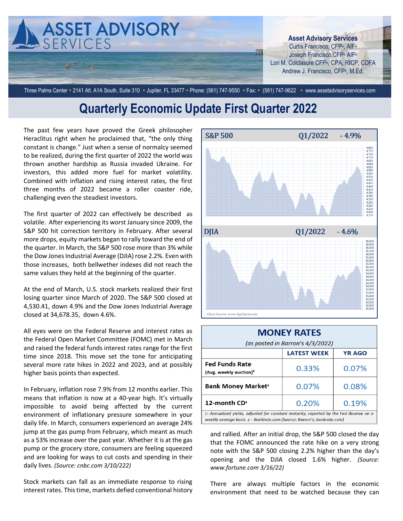

Three Palms Center = 2141 Alt. A1A South, Suite 310 · Jupiter, FL 33477 · Phone: (561) 747-9550 · Fax: • (561) 747-9622 · www.assetadvisoryservices.com

## **Quarterly Economic Update First Quarter 2022**

The past few years have proved the Greek philosopher Heraclitus right when he proclaimed that, "the only thing constant is change." Just when a sense of normalcy seemed to be realized, during the first quarter of 2022 the world was thrown another hardship as Russia invaded Ukraine. For investors, this added more fuel for market volatility. Combined with inflation and rising interest rates, the first three months of 2022 became a roller coaster ride, challenging even the steadiest investors.

The first quarter of 2022 can effectively be described as volatile. After experiencing its worst January since 2009, the S&P 500 hit correction territory in February. After several more drops, equity markets began to rally toward the end of the quarter. In March, the S&P 500 rose more than 3% while the Dow Jones Industrial Average (DJIA) rose 2.2%. Even with those increases, both bellwether indexes did not reach the same values they held at the beginning of the quarter.

At the end of March, U.S. stock markets realized their first losing quarter since March of 2020. The S&P 500 closed at 4,530.41, down 4.9% and the Dow Jones Industrial Average closed at 34,678.35, down 4.6%.

All eyes were on the Federal Reserve and interest rates as the Federal Open Market Committee (FOMC) met in March and raised the federal funds interest rates range for the first time since 2018. This move set the tone for anticipating several more rate hikes in 2022 and 2023, and at possibly higher basis points than expected.

In February, inflation rose 7.9% from 12 months earlier. This means that inflation is now at a 40-year high. It's virtually impossible to avoid being affected by the current environment of inflationary pressure somewhere in your daily life. In March, consumers experienced an average 24% jump at the gas pump from February, which meant as much as a 53% increase over the past year. Whether it is at the gas pump or the grocery store, consumers are feeling squeezed and are looking for ways to cut costs and spending in their daily lives. *(Source: cnbc.com 3/10/222)*

Stock markets can fall as an immediate response to rising interest rates. This time, markets defied conventional history



| <b>MONEY RATES</b><br>(as posted in Barron's 4/3/2022)                                                                                                            |       |       |
|-------------------------------------------------------------------------------------------------------------------------------------------------------------------|-------|-------|
| <b>LATEST WEEK</b><br><b>YR AGO</b>                                                                                                                               |       |       |
|                                                                                                                                                                   |       |       |
| <b>Fed Funds Rate</b><br>(Avg. weekly auction) <sup>c</sup>                                                                                                       | 0.33% | 0.07% |
| <b>Bank Money Market<sup>z</sup></b>                                                                                                                              | 0.07% | 0.08% |
| 12-month CD <sup>z</sup>                                                                                                                                          | 0.20% | 0.19% |
| c- Annualized yields, adjusted for constant maturity, reported by the Fed Reserve on a<br>weekly average basis. z - Bankrate.com (Source: Barron's; bankrate.com) |       |       |

and rallied. After an initial drop, the S&P 500 closed the day that the FOMC announced the rate hike on a very strong note with the S&P 500 closing 2.2% higher than the day's opening and the DJIA closed 1.6% higher. *(Source: www.fortune.com 3/16/22)*

There are always multiple factors in the economic environment that need to be watched because they can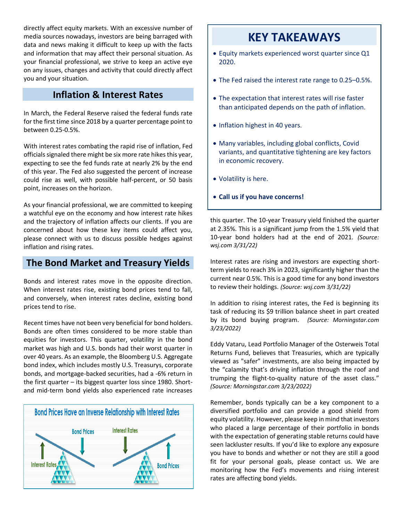directly affect equity markets. With an excessive number of media sources nowadays, investors are being barraged with data and news making it difficult to keep up with the facts and information that may affect their personal situation. As your financial professional, we strive to keep an active eye on any issues, changes and activity that could directly affect you and your situation.

#### **Inflation & Interest Rates**

In March, the Federal Reserve raised the federal funds rate for the first time since 2018 by a quarter percentage point to between 0.25-0.5%.

With interest rates combating the rapid rise of inflation, Fed officials signaled there might be six more rate hikes this year, expecting to see the fed funds rate at nearly 2% by the end of this year. The Fed also suggested the percent of increase could rise as well, with possible half-percent, or 50 basis point, increases on the horizon.

As your financial professional, we are committed to keeping a watchful eye on the economy and how interest rate hikes and the trajectory of inflation affects our clients. If you are concerned about how these key items could affect you, please connect with us to discuss possible hedges against inflation and rising rates.

### **The Bond Market and Treasury Yields**

Bonds and interest rates move in the opposite direction. When interest rates rise, existing bond prices tend to fall, and conversely, when interest rates decline, existing bond prices tend to rise.

Recent times have not been very beneficial for bond holders. Bonds are often times considered to be more stable than equities for investors. This quarter, volatility in the bond market was high and U.S. bonds had their worst quarter in over 40 years. As an example, the Bloomberg U.S. Aggregate bond index, which includes mostly U.S. Treasurys, corporate bonds, and mortgage-backed securities, had a -6% return in the first quarter – its biggest quarter loss since 1980. Shortand mid-term bond yields also experienced rate increases



## **KEY TAKEAWAYS**

- Equity markets experienced worst quarter since Q1 2020.
- The Fed raised the interest rate range to 0.25–0.5%.
- The expectation that interest rates will rise faster than anticipated depends on the path of inflation.
- Inflation highest in 40 years.
- Many variables, including global conflicts, Covid variants, and quantitative tightening are key factors in economic recovery.
- Volatility is here.
- **Call us if you have concerns!**

this quarter. The 10-year Treasury yield finished the quarter at 2.35%. This is a significant jump from the 1.5% yield that 10-year bond holders had at the end of 2021. *(Source: wsj.com 3/31/22)*

Interest rates are rising and investors are expecting shortterm yields to reach 3% in 2023, significantly higher than the current near 0.5%. This is a good time for any bond investors to review their holdings. *(Source: wsj.com 3/31/22)*

In addition to rising interest rates, the Fed is beginning its task of reducing its \$9 trillion balance sheet in part created by its bond buying program. *(Source: Morningstar.com 3/23/2022)*

Eddy Vataru, Lead Portfolio Manager of the Osterweis Total Returns Fund, believes that Treasuries, which are typically viewed as "safer" investments, are also being impacted by the "calamity that's driving inflation through the roof and trumping the flight-to-quality nature of the asset class." *(Source: Morningstar.com 3/23/2022)*

Remember, bonds typically can be a key component to a diversified portfolio and can provide a good shield from equity volatility. However, please keep in mind that investors who placed a large percentage of their portfolio in bonds with the expectation of generating stable returns could have seen lackluster results. If you'd like to explore any exposure you have to bonds and whether or not they are still a good fit for your personal goals, please contact us. We are monitoring how the Fed's movements and rising interest rates are affecting bond yields.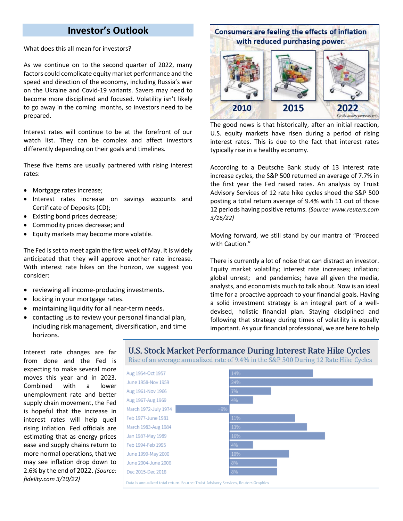#### **Investor's Outlook**

What does this all mean for investors?

As we continue on to the second quarter of 2022, many factors could complicate equity market performance and the speed and direction of the economy, including Russia's war on the Ukraine and Covid-19 variants. Savers may need to become more disciplined and focused. Volatility isn't likely to go away in the coming months, so investors need to be prepared.

Interest rates will continue to be at the forefront of our watch list. They can be complex and affect investors differently depending on their goals and timelines.

These five items are usually partnered with rising interest rates:

- Mortgage rates increase;
- Interest rates increase on savings accounts and Certificate of Deposits (CD);
- Existing bond prices decrease;
- Commodity prices decrease; and
- Equity markets may become more volatile.

The Fed is set to meet again the first week of May. It is widely anticipated that they will approve another rate increase. With interest rate hikes on the horizon, we suggest you consider:

- reviewing all income-producing investments.
- locking in your mortgage rates.
- maintaining liquidity for all near-term needs.
- contacting us to review your personal financial plan, including risk management, diversification, and time horizons.



The good news is that historically, after an initial reaction, U.S. equity markets have risen during a period of rising interest rates. This is due to the fact that interest rates typically rise in a healthy economy.

According to a Deutsche Bank study of 13 interest rate increase cycles, the S&P 500 returned an average of 7.7% in the first year the Fed raised rates. An analysis by Truist Advisory Services of 12 rate hike cycles shoed the S&P 500 posting a total return average of 9.4% with 11 out of those 12 periods having positive returns. *(Source: www.reuters.com 3/16/22)*

Moving forward, we still stand by our mantra of "Proceed with Caution."

There is currently a lot of noise that can distract an investor. Equity market volatility; interest rate increases; inflation; global unrest; and pandemics; have all given the media, analysts, and economists much to talk about. Now is an ideal time for a proactive approach to your financial goals. Having a solid investment strategy is an integral part of a welldevised, holistic financial plan. Staying disciplined and following that strategy during times of volatility is equally important. As your financial professional, we are here to help

Interest rate changes are far from done and the Fed is expecting to make several more moves this year and in 2023. Combined with a lower unemployment rate and better supply chain movement, the Fed is hopeful that the increase in interest rates will help quell rising inflation. Fed officials are estimating that as energy prices ease and supply chains return to more normal operations, that we may see inflation drop down to 2.6% by the end of 2022. *(Source: fidelity.com 3/10/22)*

**U.S. Stock Market Performance During Interest Rate Hike Cycles** Rise of an average annualized rate of 9.4% in the S&P 500 During 12 Rate Hike Cycles